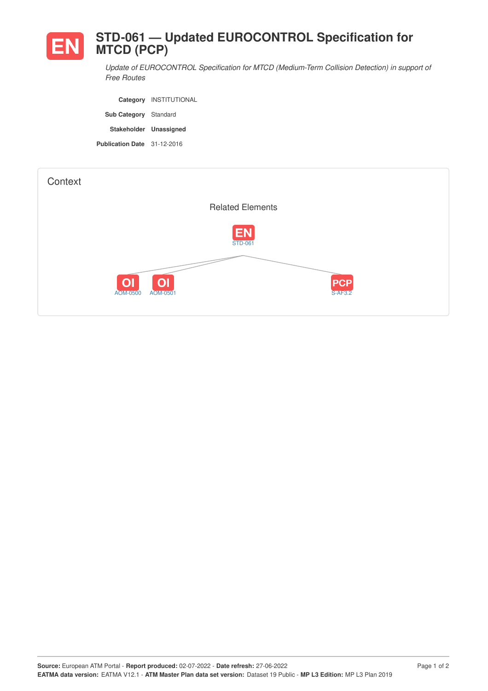

*Update of EUROCONTROL Specification for MTCD (Medium-Term Collision Detection) in support of Free Routes*

**Category** INSTITUTIONAL **Sub Category** Standard **Stakeholder Unassigned Publication Date** 31-12-2016

| Context |                                                          |                             |
|---------|----------------------------------------------------------|-----------------------------|
|         |                                                          | <b>Related Elements</b>     |
|         |                                                          | <b>EN</b><br><b>STD-061</b> |
|         |                                                          |                             |
|         | O <sub>1</sub><br>O <sub>1</sub><br>AOM-0500<br>AOM-0501 | PCP<br>S-AF3.2              |